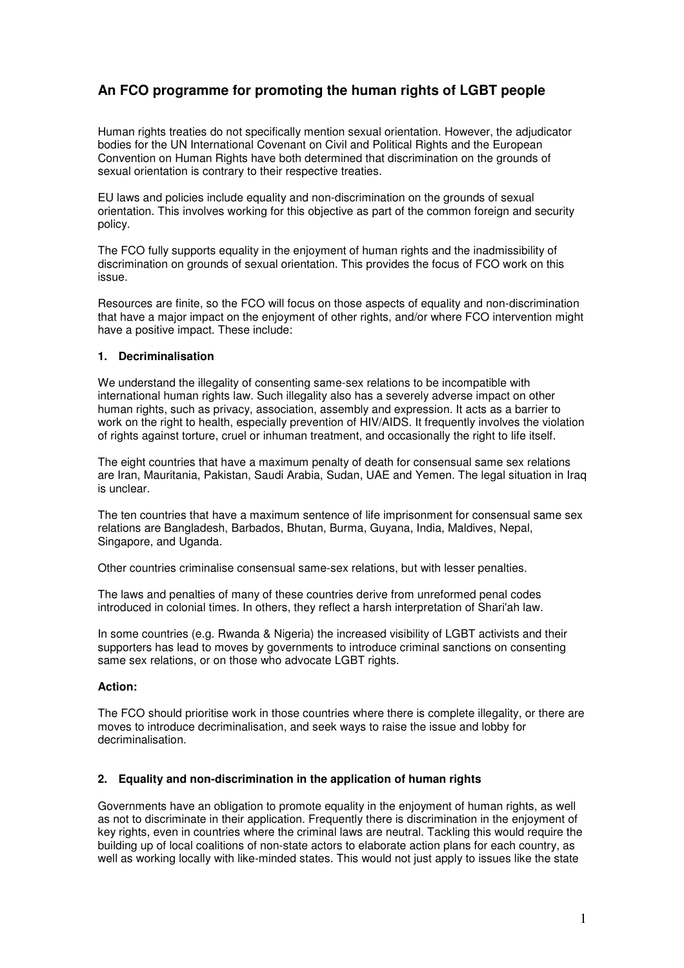# **An FCO programme for promoting the human rights of LGBT people**

Human rights treaties do not specifically mention sexual orientation. However, the adjudicator bodies for the UN International Covenant on Civil and Political Rights and the European Convention on Human Rights have both determined that discrimination on the grounds of sexual orientation is contrary to their respective treaties.

EU laws and policies include equality and non-discrimination on the grounds of sexual orientation. This involves working for this objective as part of the common foreign and security policy.

The FCO fully supports equality in the enjoyment of human rights and the inadmissibility of discrimination on grounds of sexual orientation. This provides the focus of FCO work on this issue.

Resources are finite, so the FCO will focus on those aspects of equality and non-discrimination that have a major impact on the enjoyment of other rights, and/or where FCO intervention might have a positive impact. These include:

#### **1. Decriminalisation**

We understand the illegality of consenting same-sex relations to be incompatible with international human rights law. Such illegality also has a severely adverse impact on other human rights, such as privacy, association, assembly and expression. It acts as a barrier to work on the right to health, especially prevention of HIV/AIDS. It frequently involves the violation of rights against torture, cruel or inhuman treatment, and occasionally the right to life itself.

The eight countries that have a maximum penalty of death for consensual same sex relations are Iran, Mauritania, Pakistan, Saudi Arabia, Sudan, UAE and Yemen. The legal situation in Iraq is unclear.

The ten countries that have a maximum sentence of life imprisonment for consensual same sex relations are Bangladesh, Barbados, Bhutan, Burma, Guyana, India, Maldives, Nepal, Singapore, and Uganda.

Other countries criminalise consensual same-sex relations, but with lesser penalties.

The laws and penalties of many of these countries derive from unreformed penal codes introduced in colonial times. In others, they reflect a harsh interpretation of Shari'ah law.

In some countries (e.g. Rwanda & Nigeria) the increased visibility of LGBT activists and their supporters has lead to moves by governments to introduce criminal sanctions on consenting same sex relations, or on those who advocate LGBT rights.

#### **Action:**

The FCO should prioritise work in those countries where there is complete illegality, or there are moves to introduce decriminalisation, and seek ways to raise the issue and lobby for decriminalisation.

#### **2. Equality and non-discrimination in the application of human rights**

Governments have an obligation to promote equality in the enjoyment of human rights, as well as not to discriminate in their application. Frequently there is discrimination in the enjoyment of key rights, even in countries where the criminal laws are neutral. Tackling this would require the building up of local coalitions of non-state actors to elaborate action plans for each country, as well as working locally with like-minded states. This would not just apply to issues like the state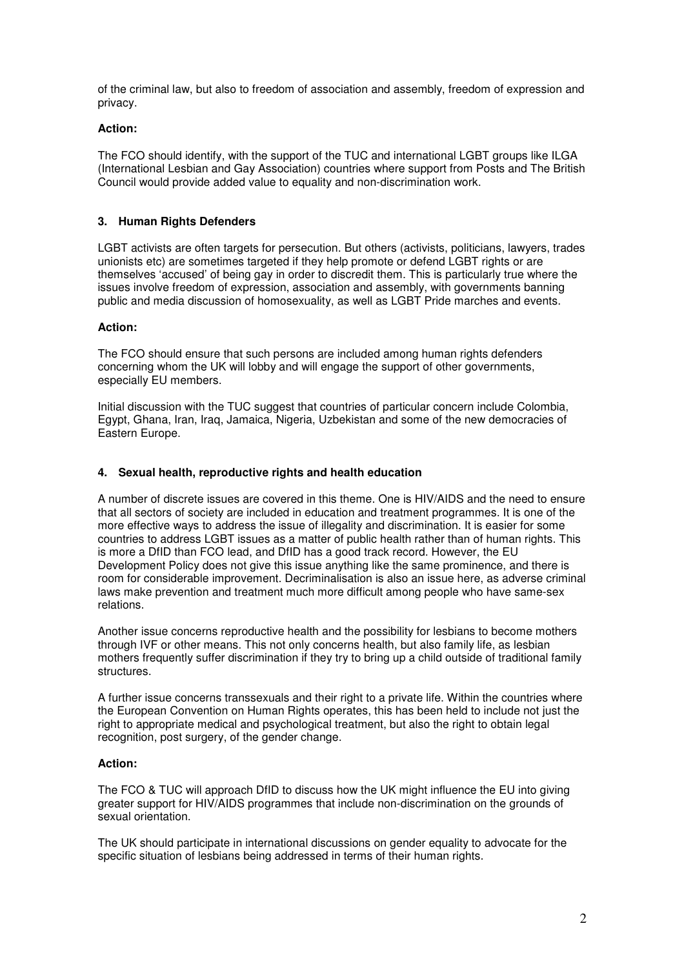of the criminal law, but also to freedom of association and assembly, freedom of expression and privacy.

# **Action:**

The FCO should identify, with the support of the TUC and international LGBT groups like ILGA (International Lesbian and Gay Association) countries where support from Posts and The British Council would provide added value to equality and non-discrimination work.

# **3. Human Rights Defenders**

LGBT activists are often targets for persecution. But others (activists, politicians, lawyers, trades unionists etc) are sometimes targeted if they help promote or defend LGBT rights or are themselves 'accused' of being gay in order to discredit them. This is particularly true where the issues involve freedom of expression, association and assembly, with governments banning public and media discussion of homosexuality, as well as LGBT Pride marches and events.

#### **Action:**

The FCO should ensure that such persons are included among human rights defenders concerning whom the UK will lobby and will engage the support of other governments, especially EU members.

Initial discussion with the TUC suggest that countries of particular concern include Colombia, Egypt, Ghana, Iran, Iraq, Jamaica, Nigeria, Uzbekistan and some of the new democracies of Eastern Europe.

# **4. Sexual health, reproductive rights and health education**

A number of discrete issues are covered in this theme. One is HIV/AIDS and the need to ensure that all sectors of society are included in education and treatment programmes. It is one of the more effective ways to address the issue of illegality and discrimination. It is easier for some countries to address LGBT issues as a matter of public health rather than of human rights. This is more a DfID than FCO lead, and DfID has a good track record. However, the EU Development Policy does not give this issue anything like the same prominence, and there is room for considerable improvement. Decriminalisation is also an issue here, as adverse criminal laws make prevention and treatment much more difficult among people who have same-sex relations.

Another issue concerns reproductive health and the possibility for lesbians to become mothers through IVF or other means. This not only concerns health, but also family life, as lesbian mothers frequently suffer discrimination if they try to bring up a child outside of traditional family structures.

A further issue concerns transsexuals and their right to a private life. Within the countries where the European Convention on Human Rights operates, this has been held to include not just the right to appropriate medical and psychological treatment, but also the right to obtain legal recognition, post surgery, of the gender change.

#### **Action:**

The FCO & TUC will approach DfID to discuss how the UK might influence the EU into giving greater support for HIV/AIDS programmes that include non-discrimination on the grounds of sexual orientation.

The UK should participate in international discussions on gender equality to advocate for the specific situation of lesbians being addressed in terms of their human rights.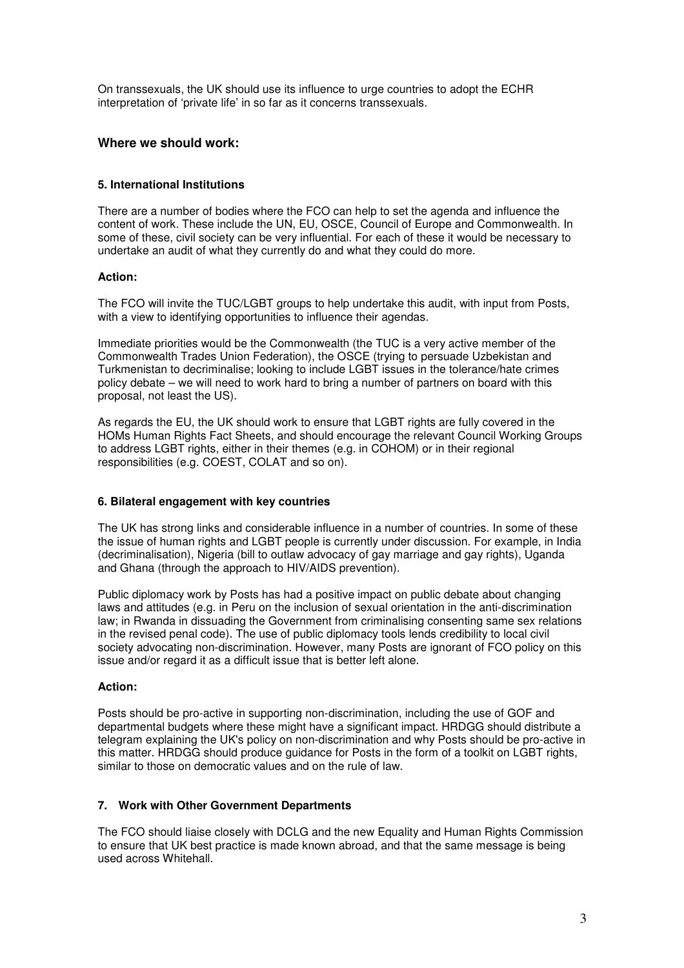On transsexuals, the UK should use its influence to urge countries to adopt the ECHR interpretation of 'private life' in so far as it concerns transsexuals.

# **Where we should work:**

# **5. International Institutions**

There are a number of bodies where the FCO can help to set the agenda and influence the content of work. These include the UN, EU, OSCE, Council of Europe and Commonwealth. In some of these, civil society can be very influential. For each of these it would be necessary to undertake an audit of what they currently do and what they could do more.

# **Action:**

The FCO will invite the TUC/LGBT groups to help undertake this audit, with input from Posts, with a view to identifying opportunities to influence their agendas.

Immediate priorities would be the Commonwealth (the TUC is a very active member of the Commonwealth Trades Union Federation), the OSCE (trying to persuade Uzbekistan and Turkmenistan to decriminalise; looking to include LGBT issues in the tolerance/hate crimes policy debate – we will need to work hard to bring a number of partners on board with this proposal, not least the US).

As regards the EU, the UK should work to ensure that LGBT rights are fully covered in the HOMs Human Rights Fact Sheets, and should encourage the relevant Council Working Groups to address LGBT rights, either in their themes (e.g. in COHOM) or in their regional responsibilities (e.g. COEST, COLAT and so on).

#### **6. Bilateral engagement with key countries**

The UK has strong links and considerable influence in a number of countries. In some of these the issue of human rights and LGBT people is currently under discussion. For example, in India (decriminalisation), Nigeria (bill to outlaw advocacy of gay marriage and gay rights), Uganda and Ghana (through the approach to HIV/AIDS prevention).

Public diplomacy work by Posts has had a positive impact on public debate about changing laws and attitudes (e.g. in Peru on the inclusion of sexual orientation in the anti-discrimination law; in Rwanda in dissuading the Government from criminalising consenting same sex relations in the revised penal code). The use of public diplomacy tools lends credibility to local civil society advocating non-discrimination. However, many Posts are ignorant of FCO policy on this issue and/or regard it as a difficult issue that is better left alone.

#### **Action:**

Posts should be pro-active in supporting non-discrimination, including the use of GOF and departmental budgets where these might have a significant impact. HRDGG should distribute a telegram explaining the UK's policy on non-discrimination and why Posts should be pro-active in this matter. HRDGG should produce guidance for Posts in the form of a toolkit on LGBT rights, similar to those on democratic values and on the rule of law.

# **7. Work with Other Government Departments**

The FCO should liaise closely with DCLG and the new Equality and Human Rights Commission to ensure that UK best practice is made known abroad, and that the same message is being used across Whitehall.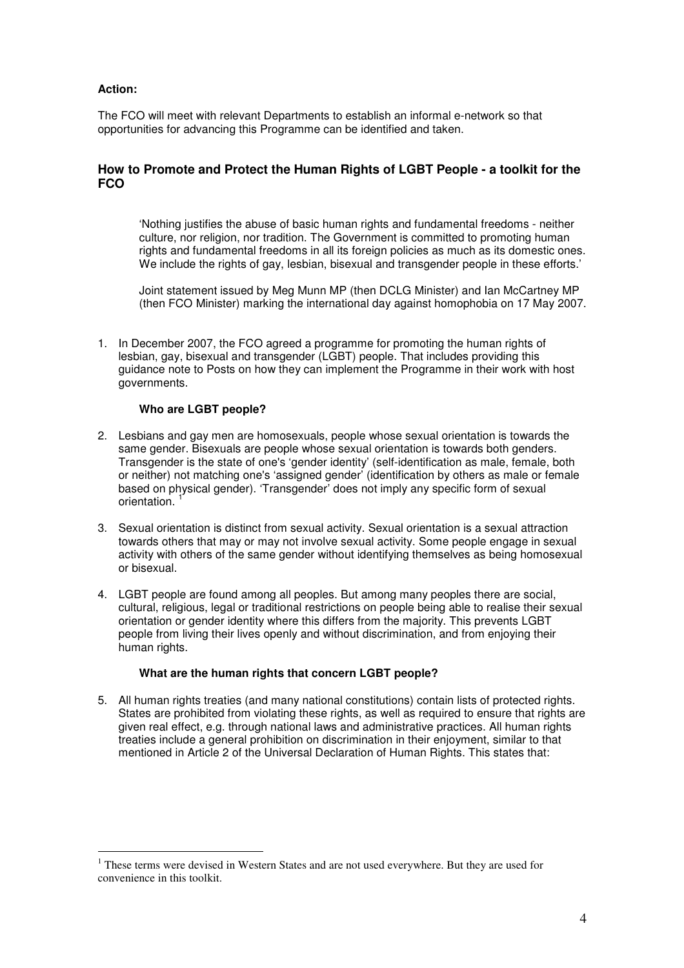# **Action:**

 $\overline{a}$ 

The FCO will meet with relevant Departments to establish an informal e-network so that opportunities for advancing this Programme can be identified and taken.

# **How to Promote and Protect the Human Rights of LGBT People - a toolkit for the FCO**

'Nothing justifies the abuse of basic human rights and fundamental freedoms - neither culture, nor religion, nor tradition. The Government is committed to promoting human rights and fundamental freedoms in all its foreign policies as much as its domestic ones. We include the rights of gay, lesbian, bisexual and transgender people in these efforts.'

Joint statement issued by Meg Munn MP (then DCLG Minister) and Ian McCartney MP (then FCO Minister) marking the international day against homophobia on 17 May 2007.

1. In December 2007, the FCO agreed a programme for promoting the human rights of lesbian, gay, bisexual and transgender (LGBT) people. That includes providing this guidance note to Posts on how they can implement the Programme in their work with host governments.

#### **Who are LGBT people?**

- 2. Lesbians and gay men are homosexuals, people whose sexual orientation is towards the same gender. Bisexuals are people whose sexual orientation is towards both genders. Transgender is the state of one's 'gender identity' (self-identification as male, female, both or neither) not matching one's 'assigned gender' (identification by others as male or female based on physical gender). 'Transgender' does not imply any specific form of sexual orientation. <sup>1</sup>
- 3. Sexual orientation is distinct from sexual activity. Sexual orientation is a sexual attraction towards others that may or may not involve sexual activity. Some people engage in sexual activity with others of the same gender without identifying themselves as being homosexual or bisexual.
- 4. LGBT people are found among all peoples. But among many peoples there are social, cultural, religious, legal or traditional restrictions on people being able to realise their sexual orientation or gender identity where this differs from the majority. This prevents LGBT people from living their lives openly and without discrimination, and from enjoying their human rights.

#### **What are the human rights that concern LGBT people?**

5. All human rights treaties (and many national constitutions) contain lists of protected rights. States are prohibited from violating these rights, as well as required to ensure that rights are given real effect, e.g. through national laws and administrative practices. All human rights treaties include a general prohibition on discrimination in their enjoyment, similar to that mentioned in Article 2 of the Universal Declaration of Human Rights. This states that:

<sup>&</sup>lt;sup>1</sup> These terms were devised in Western States and are not used everywhere. But they are used for convenience in this toolkit.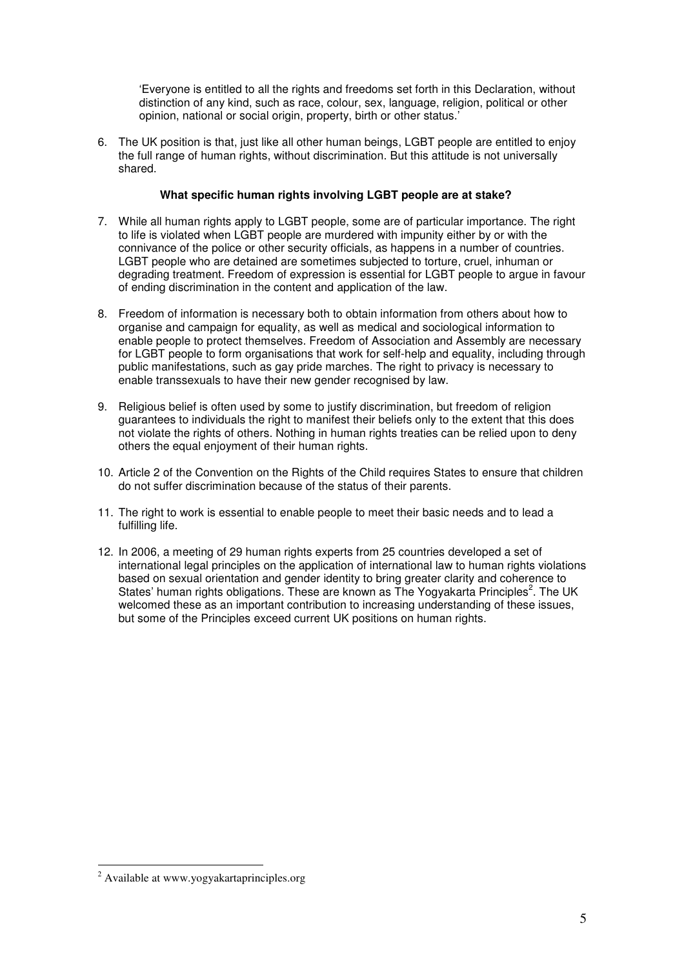'Everyone is entitled to all the rights and freedoms set forth in this Declaration, without distinction of any kind, such as race, colour, sex, language, religion, political or other opinion, national or social origin, property, birth or other status.'

6. The UK position is that, just like all other human beings, LGBT people are entitled to enjoy the full range of human rights, without discrimination. But this attitude is not universally shared.

#### **What specific human rights involving LGBT people are at stake?**

- 7. While all human rights apply to LGBT people, some are of particular importance. The right to life is violated when LGBT people are murdered with impunity either by or with the connivance of the police or other security officials, as happens in a number of countries. LGBT people who are detained are sometimes subjected to torture, cruel, inhuman or degrading treatment. Freedom of expression is essential for LGBT people to argue in favour of ending discrimination in the content and application of the law.
- 8. Freedom of information is necessary both to obtain information from others about how to organise and campaign for equality, as well as medical and sociological information to enable people to protect themselves. Freedom of Association and Assembly are necessary for LGBT people to form organisations that work for self-help and equality, including through public manifestations, such as gay pride marches. The right to privacy is necessary to enable transsexuals to have their new gender recognised by law.
- 9. Religious belief is often used by some to justify discrimination, but freedom of religion guarantees to individuals the right to manifest their beliefs only to the extent that this does not violate the rights of others. Nothing in human rights treaties can be relied upon to deny others the equal enjoyment of their human rights.
- 10. Article 2 of the Convention on the Rights of the Child requires States to ensure that children do not suffer discrimination because of the status of their parents.
- 11. The right to work is essential to enable people to meet their basic needs and to lead a fulfilling life.
- 12. In 2006, a meeting of 29 human rights experts from 25 countries developed a set of international legal principles on the application of international law to human rights violations based on sexual orientation and gender identity to bring greater clarity and coherence to States' human rights obligations. These are known as The Yogyakarta Principles<sup>2</sup>. The UK welcomed these as an important contribution to increasing understanding of these issues, but some of the Principles exceed current UK positions on human rights.

 2 Available at www.yogyakartaprinciples.org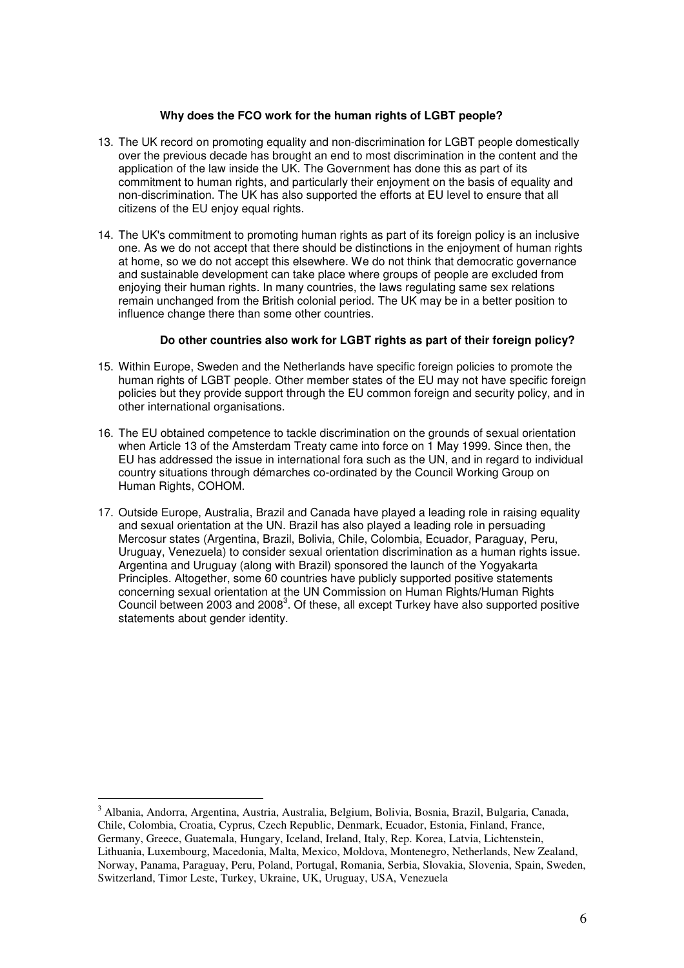#### **Why does the FCO work for the human rights of LGBT people?**

- 13. The UK record on promoting equality and non-discrimination for LGBT people domestically over the previous decade has brought an end to most discrimination in the content and the application of the law inside the UK. The Government has done this as part of its commitment to human rights, and particularly their enjoyment on the basis of equality and non-discrimination. The UK has also supported the efforts at EU level to ensure that all citizens of the EU enjoy equal rights.
- 14. The UK's commitment to promoting human rights as part of its foreign policy is an inclusive one. As we do not accept that there should be distinctions in the enjoyment of human rights at home, so we do not accept this elsewhere. We do not think that democratic governance and sustainable development can take place where groups of people are excluded from enjoying their human rights. In many countries, the laws regulating same sex relations remain unchanged from the British colonial period. The UK may be in a better position to influence change there than some other countries.

#### **Do other countries also work for LGBT rights as part of their foreign policy?**

- 15. Within Europe, Sweden and the Netherlands have specific foreign policies to promote the human rights of LGBT people. Other member states of the EU may not have specific foreign policies but they provide support through the EU common foreign and security policy, and in other international organisations.
- 16. The EU obtained competence to tackle discrimination on the grounds of sexual orientation when Article 13 of the Amsterdam Treaty came into force on 1 May 1999. Since then, the EU has addressed the issue in international fora such as the UN, and in regard to individual country situations through démarches co-ordinated by the Council Working Group on Human Rights, COHOM.
- 17. Outside Europe, Australia, Brazil and Canada have played a leading role in raising equality and sexual orientation at the UN. Brazil has also played a leading role in persuading Mercosur states (Argentina, Brazil, Bolivia, Chile, Colombia, Ecuador, Paraguay, Peru, Uruguay, Venezuela) to consider sexual orientation discrimination as a human rights issue. Argentina and Uruguay (along with Brazil) sponsored the launch of the Yogyakarta Principles. Altogether, some 60 countries have publicly supported positive statements concerning sexual orientation at the UN Commission on Human Rights/Human Rights Council between 2003 and 2008 $3$ . Of these, all except Turkey have also supported positive statements about gender identity.

 $\overline{a}$ 

<sup>&</sup>lt;sup>3</sup> Albania, Andorra, Argentina, Austria, Australia, Belgium, Bolivia, Bosnia, Brazil, Bulgaria, Canada, Chile, Colombia, Croatia, Cyprus, Czech Republic, Denmark, Ecuador, Estonia, Finland, France, Germany, Greece, Guatemala, Hungary, Iceland, Ireland, Italy, Rep. Korea, Latvia, Lichtenstein, Lithuania, Luxembourg, Macedonia, Malta, Mexico, Moldova, Montenegro, Netherlands, New Zealand, Norway, Panama, Paraguay, Peru, Poland, Portugal, Romania, Serbia, Slovakia, Slovenia, Spain, Sweden, Switzerland, Timor Leste, Turkey, Ukraine, UK, Uruguay, USA, Venezuela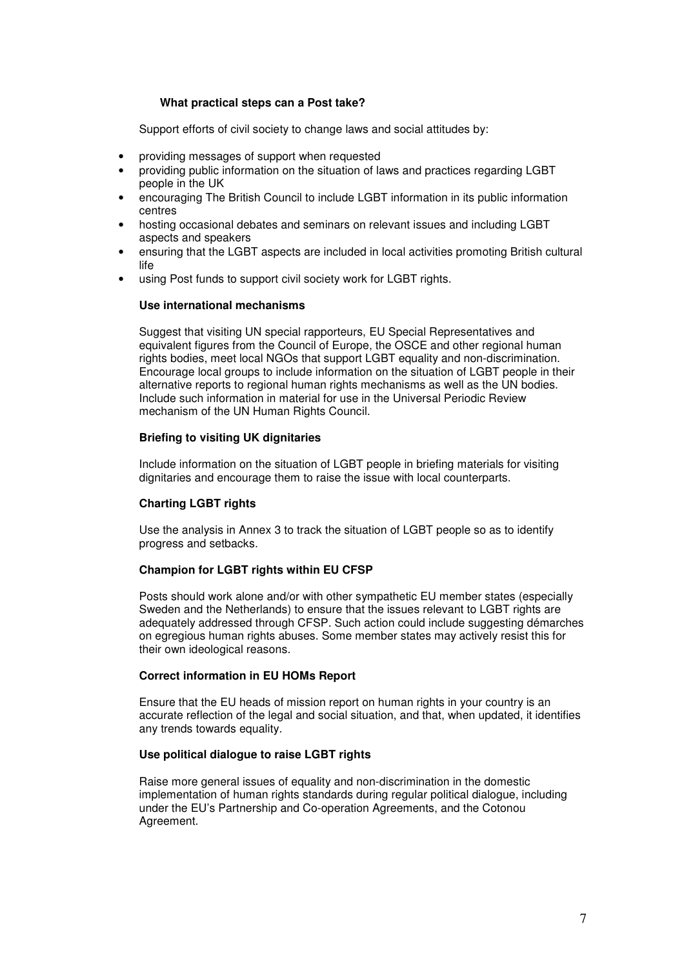#### **What practical steps can a Post take?**

Support efforts of civil society to change laws and social attitudes by:

- providing messages of support when requested
- providing public information on the situation of laws and practices regarding LGBT people in the UK
- encouraging The British Council to include LGBT information in its public information centres
- hosting occasional debates and seminars on relevant issues and including LGBT aspects and speakers
- ensuring that the LGBT aspects are included in local activities promoting British cultural life
- using Post funds to support civil society work for LGBT rights.

#### **Use international mechanisms**

Suggest that visiting UN special rapporteurs, EU Special Representatives and equivalent figures from the Council of Europe, the OSCE and other regional human rights bodies, meet local NGOs that support LGBT equality and non-discrimination. Encourage local groups to include information on the situation of LGBT people in their alternative reports to regional human rights mechanisms as well as the UN bodies. Include such information in material for use in the Universal Periodic Review mechanism of the UN Human Rights Council.

#### **Briefing to visiting UK dignitaries**

Include information on the situation of LGBT people in briefing materials for visiting dignitaries and encourage them to raise the issue with local counterparts.

#### **Charting LGBT rights**

Use the analysis in Annex 3 to track the situation of LGBT people so as to identify progress and setbacks.

#### **Champion for LGBT rights within EU CFSP**

Posts should work alone and/or with other sympathetic EU member states (especially Sweden and the Netherlands) to ensure that the issues relevant to LGBT rights are adequately addressed through CFSP. Such action could include suggesting démarches on egregious human rights abuses. Some member states may actively resist this for their own ideological reasons.

# **Correct information in EU HOMs Report**

Ensure that the EU heads of mission report on human rights in your country is an accurate reflection of the legal and social situation, and that, when updated, it identifies any trends towards equality.

#### **Use political dialogue to raise LGBT rights**

Raise more general issues of equality and non-discrimination in the domestic implementation of human rights standards during regular political dialogue, including under the EU's Partnership and Co-operation Agreements, and the Cotonou Agreement.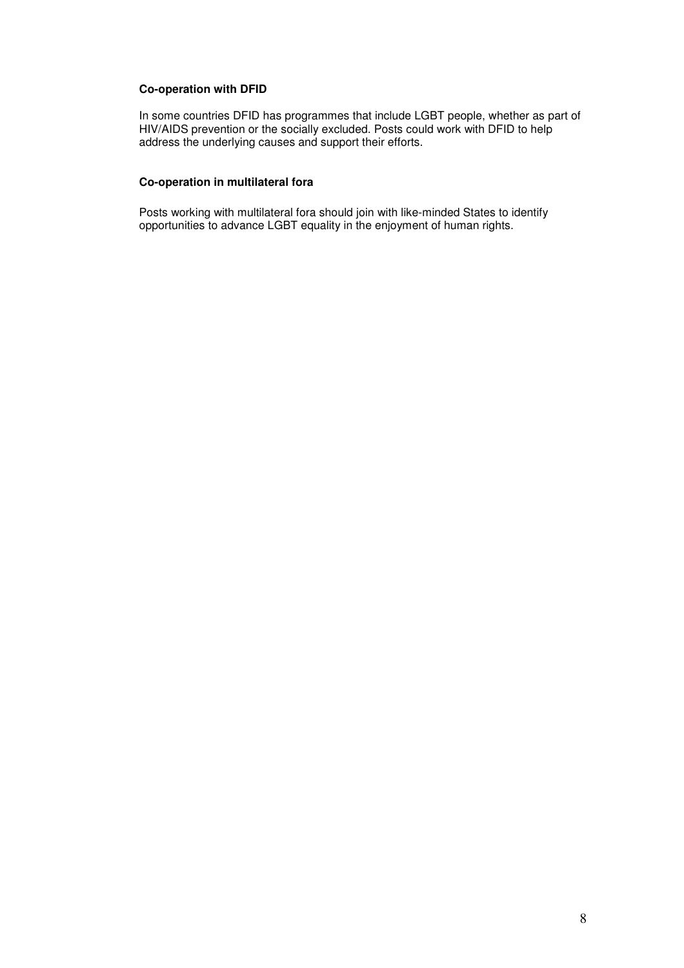# **Co-operation with DFID**

In some countries DFID has programmes that include LGBT people, whether as part of HIV/AIDS prevention or the socially excluded. Posts could work with DFID to help address the underlying causes and support their efforts.

#### **Co-operation in multilateral fora**

Posts working with multilateral fora should join with like-minded States to identify opportunities to advance LGBT equality in the enjoyment of human rights.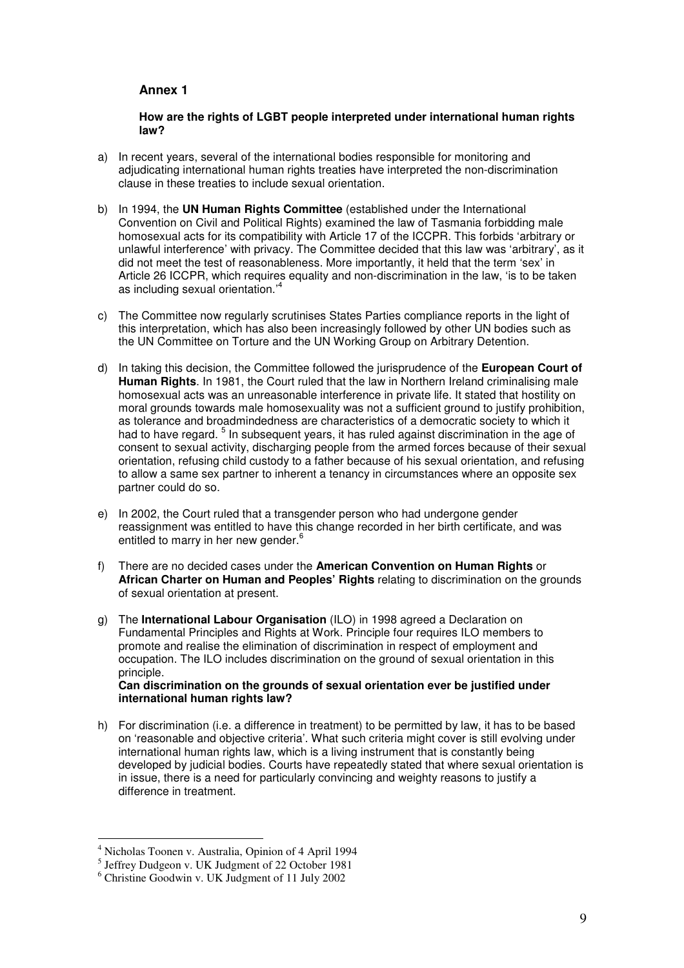# **Annex 1**

**How are the rights of LGBT people interpreted under international human rights law?** 

- a) In recent years, several of the international bodies responsible for monitoring and adjudicating international human rights treaties have interpreted the non-discrimination clause in these treaties to include sexual orientation.
- b) In 1994, the **UN Human Rights Committee** (established under the International Convention on Civil and Political Rights) examined the law of Tasmania forbidding male homosexual acts for its compatibility with Article 17 of the ICCPR. This forbids 'arbitrary or unlawful interference' with privacy. The Committee decided that this law was 'arbitrary', as it did not meet the test of reasonableness. More importantly, it held that the term 'sex' in Article 26 ICCPR, which requires equality and non-discrimination in the law, 'is to be taken as including sexual orientation.<sup>4</sup>
- c) The Committee now regularly scrutinises States Parties compliance reports in the light of this interpretation, which has also been increasingly followed by other UN bodies such as the UN Committee on Torture and the UN Working Group on Arbitrary Detention.
- d) In taking this decision, the Committee followed the jurisprudence of the **European Court of Human Rights**. In 1981, the Court ruled that the law in Northern Ireland criminalising male homosexual acts was an unreasonable interference in private life. It stated that hostility on moral grounds towards male homosexuality was not a sufficient ground to justify prohibition, as tolerance and broadmindedness are characteristics of a democratic society to which it had to have regard. <sup>5</sup> In subsequent years, it has ruled against discrimination in the age of consent to sexual activity, discharging people from the armed forces because of their sexual orientation, refusing child custody to a father because of his sexual orientation, and refusing to allow a same sex partner to inherent a tenancy in circumstances where an opposite sex partner could do so.
- e) In 2002, the Court ruled that a transgender person who had undergone gender reassignment was entitled to have this change recorded in her birth certificate, and was entitled to marry in her new gender.<sup>6</sup>
- f) There are no decided cases under the **American Convention on Human Rights** or **African Charter on Human and Peoples' Rights** relating to discrimination on the grounds of sexual orientation at present.
- g) The **International Labour Organisation** (ILO) in 1998 agreed a Declaration on Fundamental Principles and Rights at Work. Principle four requires ILO members to promote and realise the elimination of discrimination in respect of employment and occupation. The ILO includes discrimination on the ground of sexual orientation in this principle. **Can discrimination on the grounds of sexual orientation ever be justified under**
- **international human rights law?**  h) For discrimination (i.e. a difference in treatment) to be permitted by law, it has to be based on 'reasonable and objective criteria'. What such criteria might cover is still evolving under
- international human rights law, which is a living instrument that is constantly being developed by judicial bodies. Courts have repeatedly stated that where sexual orientation is in issue, there is a need for particularly convincing and weighty reasons to justify a difference in treatment.

 $\overline{a}$ 

<sup>4</sup> Nicholas Toonen v. Australia, Opinion of 4 April 1994

<sup>5</sup> Jeffrey Dudgeon v. UK Judgment of 22 October 1981

<sup>6</sup> Christine Goodwin v. UK Judgment of 11 July 2002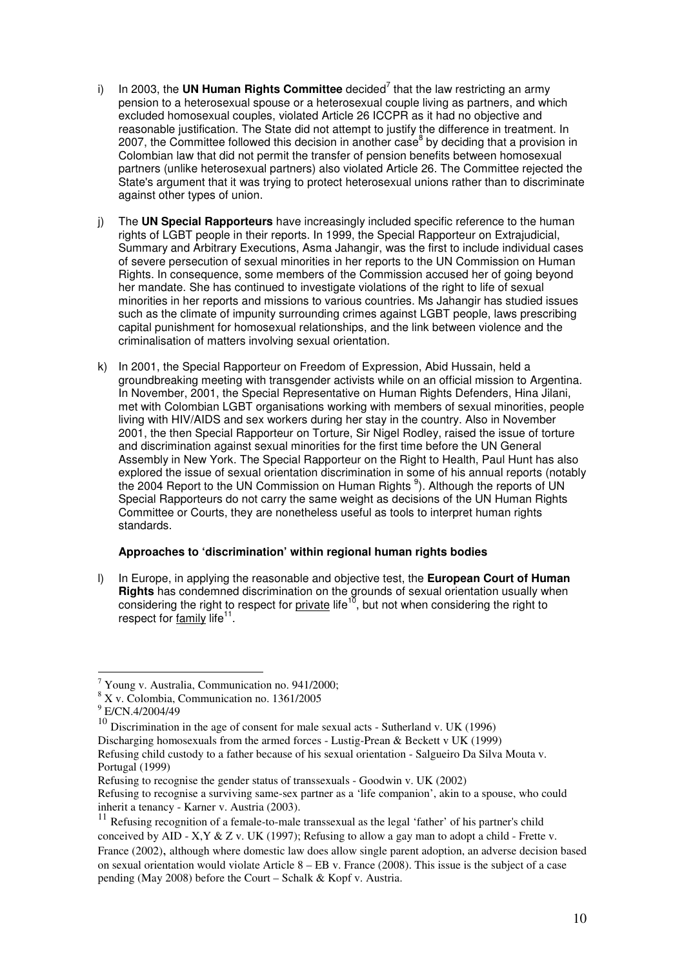- i) In 2003, the **UN Human Rights Committee** decided<sup>7</sup> that the law restricting an army pension to a heterosexual spouse or a heterosexual couple living as partners, and which excluded homosexual couples, violated Article 26 ICCPR as it had no objective and reasonable justification. The State did not attempt to justify the difference in treatment. In 2007, the Committee followed this decision in another case<sup>8</sup> by deciding that a provision in Colombian law that did not permit the transfer of pension benefits between homosexual partners (unlike heterosexual partners) also violated Article 26. The Committee rejected the State's argument that it was trying to protect heterosexual unions rather than to discriminate against other types of union.
- j) The **UN Special Rapporteurs** have increasingly included specific reference to the human rights of LGBT people in their reports. In 1999, the Special Rapporteur on Extrajudicial, Summary and Arbitrary Executions, Asma Jahangir, was the first to include individual cases of severe persecution of sexual minorities in her reports to the UN Commission on Human Rights. In consequence, some members of the Commission accused her of going beyond her mandate. She has continued to investigate violations of the right to life of sexual minorities in her reports and missions to various countries. Ms Jahangir has studied issues such as the climate of impunity surrounding crimes against LGBT people, laws prescribing capital punishment for homosexual relationships, and the link between violence and the criminalisation of matters involving sexual orientation.
- k) In 2001, the Special Rapporteur on Freedom of Expression, Abid Hussain, held a groundbreaking meeting with transgender activists while on an official mission to Argentina. In November, 2001, the Special Representative on Human Rights Defenders, Hina Jilani, met with Colombian LGBT organisations working with members of sexual minorities, people living with HIV/AIDS and sex workers during her stay in the country. Also in November 2001, the then Special Rapporteur on Torture, Sir Nigel Rodley, raised the issue of torture and discrimination against sexual minorities for the first time before the UN General Assembly in New York. The Special Rapporteur on the Right to Health, Paul Hunt has also explored the issue of sexual orientation discrimination in some of his annual reports (notably the 2004 Report to the UN Commission on Human Rights<sup>9</sup>). Although the reports of UN Special Rapporteurs do not carry the same weight as decisions of the UN Human Rights Committee or Courts, they are nonetheless useful as tools to interpret human rights standards.

#### **Approaches to 'discrimination' within regional human rights bodies**

l) In Europe, in applying the reasonable and objective test, the **European Court of Human Rights** has condemned discrimination on the grounds of sexual orientation usually when considering the right to respect for private life<sup>10</sup>, but not when considering the right to respect for family life<sup>11</sup>.

Discharging homosexuals from the armed forces - Lustig-Prean & Beckett v UK (1999) Refusing child custody to a father because of his sexual orientation - Salgueiro Da Silva Mouta v. Portugal (1999)

 $\overline{a}$  $7$  Young v. Australia, Communication no. 941/2000;

<sup>8</sup> X v. Colombia, Communication no. 1361/2005

<sup>9</sup> E/CN.4/2004/49

<sup>10</sup> Discrimination in the age of consent for male sexual acts - Sutherland v. UK (1996)

Refusing to recognise the gender status of transsexuals - Goodwin v. UK (2002)

Refusing to recognise a surviving same-sex partner as a 'life companion', akin to a spouse, who could inherit a tenancy - Karner v. Austria (2003).

 $11$  Refusing recognition of a female-to-male transsexual as the legal 'father' of his partner's child conceived by AID - X,Y & Z v. UK (1997); Refusing to allow a gay man to adopt a child - Frette v.

France (2002), although where domestic law does allow single parent adoption, an adverse decision based on sexual orientation would violate Article  $8 - EB$  v. France (2008). This issue is the subject of a case pending (May 2008) before the Court – Schalk & Kopf v. Austria.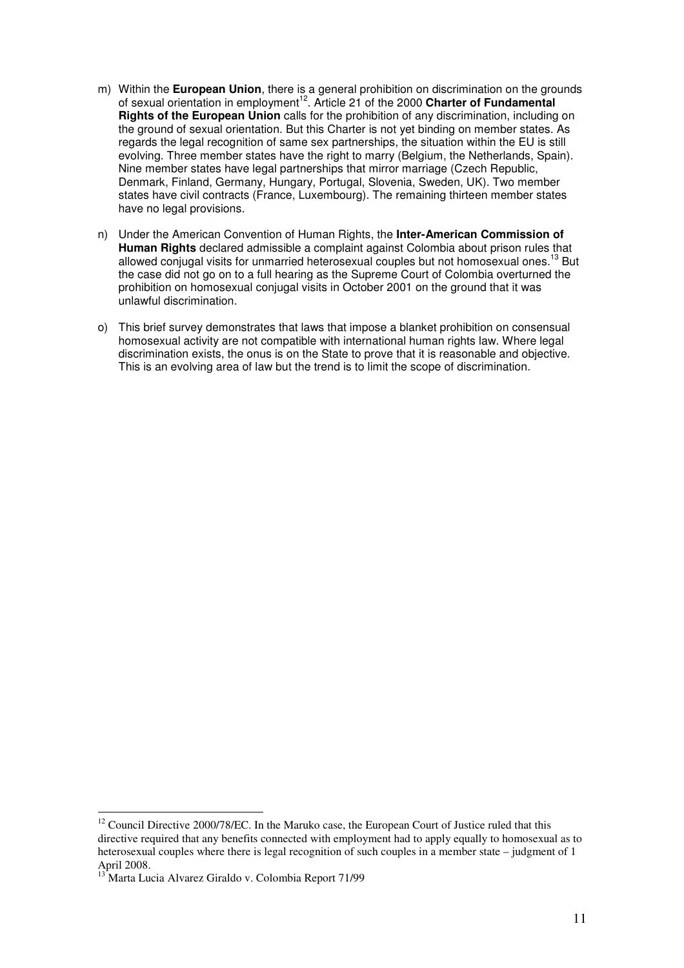- m) Within the **European Union**, there is a general prohibition on discrimination on the grounds of sexual orientation in employment<sup>12</sup>. Article 21 of the 2000 Charter of Fundamental **Rights of the European Union** calls for the prohibition of any discrimination, including on the ground of sexual orientation. But this Charter is not yet binding on member states. As regards the legal recognition of same sex partnerships, the situation within the EU is still evolving. Three member states have the right to marry (Belgium, the Netherlands, Spain). Nine member states have legal partnerships that mirror marriage (Czech Republic, Denmark, Finland, Germany, Hungary, Portugal, Slovenia, Sweden, UK). Two member states have civil contracts (France, Luxembourg). The remaining thirteen member states have no legal provisions.
- n) Under the American Convention of Human Rights, the **Inter-American Commission of Human Rights** declared admissible a complaint against Colombia about prison rules that allowed conjugal visits for unmarried heterosexual couples but not homosexual ones.<sup>13</sup> But the case did not go on to a full hearing as the Supreme Court of Colombia overturned the prohibition on homosexual conjugal visits in October 2001 on the ground that it was unlawful discrimination.
- o) This brief survey demonstrates that laws that impose a blanket prohibition on consensual homosexual activity are not compatible with international human rights law. Where legal discrimination exists, the onus is on the State to prove that it is reasonable and objective. This is an evolving area of law but the trend is to limit the scope of discrimination.

 $\overline{a}$ 

 $12$  Council Directive 2000/78/EC. In the Maruko case, the European Court of Justice ruled that this directive required that any benefits connected with employment had to apply equally to homosexual as to heterosexual couples where there is legal recognition of such couples in a member state – judgment of 1 April 2008.

<sup>13</sup> Marta Lucia Alvarez Giraldo v. Colombia Report 71/99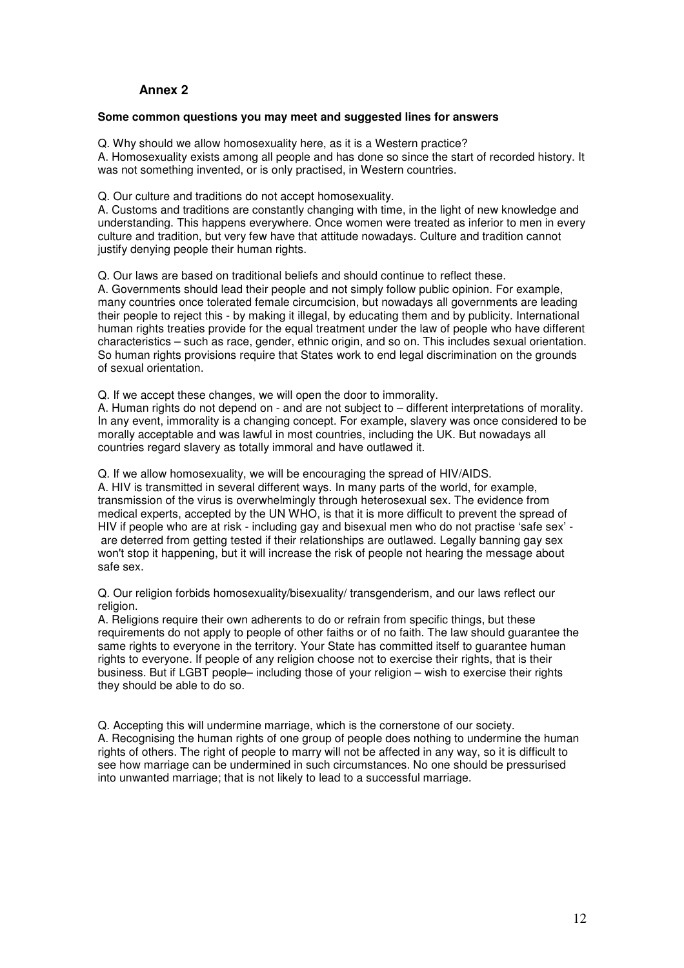# **Annex 2**

#### **Some common questions you may meet and suggested lines for answers**

Q. Why should we allow homosexuality here, as it is a Western practice? A. Homosexuality exists among all people and has done so since the start of recorded history. It was not something invented, or is only practised, in Western countries.

Q. Our culture and traditions do not accept homosexuality.

A. Customs and traditions are constantly changing with time, in the light of new knowledge and understanding. This happens everywhere. Once women were treated as inferior to men in every culture and tradition, but very few have that attitude nowadays. Culture and tradition cannot justify denying people their human rights.

Q. Our laws are based on traditional beliefs and should continue to reflect these.

A. Governments should lead their people and not simply follow public opinion. For example, many countries once tolerated female circumcision, but nowadays all governments are leading their people to reject this - by making it illegal, by educating them and by publicity. International human rights treaties provide for the equal treatment under the law of people who have different characteristics – such as race, gender, ethnic origin, and so on. This includes sexual orientation. So human rights provisions require that States work to end legal discrimination on the grounds of sexual orientation.

Q. If we accept these changes, we will open the door to immorality.

A. Human rights do not depend on - and are not subject to – different interpretations of morality. In any event, immorality is a changing concept. For example, slavery was once considered to be morally acceptable and was lawful in most countries, including the UK. But nowadays all countries regard slavery as totally immoral and have outlawed it.

Q. If we allow homosexuality, we will be encouraging the spread of HIV/AIDS.

A. HIV is transmitted in several different ways. In many parts of the world, for example, transmission of the virus is overwhelmingly through heterosexual sex. The evidence from medical experts, accepted by the UN WHO, is that it is more difficult to prevent the spread of HIV if people who are at risk - including gay and bisexual men who do not practise 'safe sex' are deterred from getting tested if their relationships are outlawed. Legally banning gay sex won't stop it happening, but it will increase the risk of people not hearing the message about safe sex.

Q. Our religion forbids homosexuality/bisexuality/ transgenderism, and our laws reflect our religion.

A. Religions require their own adherents to do or refrain from specific things, but these requirements do not apply to people of other faiths or of no faith. The law should guarantee the same rights to everyone in the territory. Your State has committed itself to guarantee human rights to everyone. If people of any religion choose not to exercise their rights, that is their business. But if LGBT people– including those of your religion – wish to exercise their rights they should be able to do so.

Q. Accepting this will undermine marriage, which is the cornerstone of our society. A. Recognising the human rights of one group of people does nothing to undermine the human rights of others. The right of people to marry will not be affected in any way, so it is difficult to see how marriage can be undermined in such circumstances. No one should be pressurised into unwanted marriage; that is not likely to lead to a successful marriage.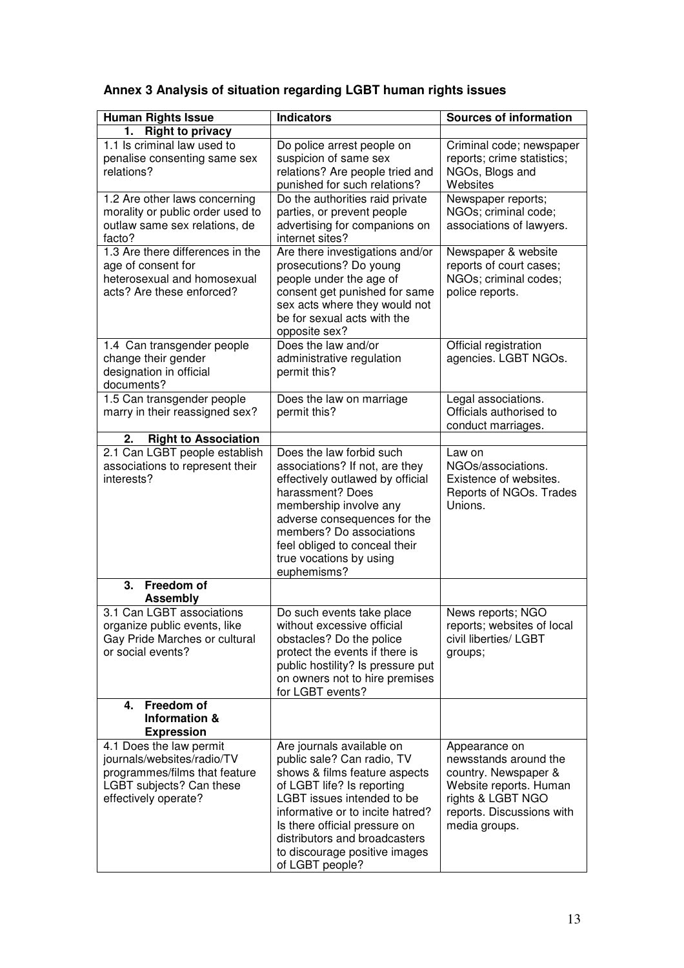| <b>Human Rights Issue</b>                                                                                                                  | <b>Indicators</b>                                                                                                                                                                                                                                                                                              | <b>Sources of information</b>                                                                                                                               |
|--------------------------------------------------------------------------------------------------------------------------------------------|----------------------------------------------------------------------------------------------------------------------------------------------------------------------------------------------------------------------------------------------------------------------------------------------------------------|-------------------------------------------------------------------------------------------------------------------------------------------------------------|
| <b>Right to privacy</b><br>1.                                                                                                              |                                                                                                                                                                                                                                                                                                                |                                                                                                                                                             |
| 1.1 Is criminal law used to<br>penalise consenting same sex<br>relations?                                                                  | Do police arrest people on<br>suspicion of same sex<br>relations? Are people tried and<br>punished for such relations?                                                                                                                                                                                         | Criminal code; newspaper<br>reports; crime statistics;<br>NGOs, Blogs and<br>Websites                                                                       |
| 1.2 Are other laws concerning<br>morality or public order used to<br>outlaw same sex relations, de<br>facto?                               | Do the authorities raid private<br>parties, or prevent people<br>advertising for companions on<br>internet sites?                                                                                                                                                                                              | Newspaper reports;<br>NGOs; criminal code;<br>associations of lawyers.                                                                                      |
| 1.3 Are there differences in the<br>age of consent for<br>heterosexual and homosexual<br>acts? Are these enforced?                         | Are there investigations and/or<br>prosecutions? Do young<br>people under the age of<br>consent get punished for same<br>sex acts where they would not<br>be for sexual acts with the<br>opposite sex?                                                                                                         | Newspaper & website<br>reports of court cases;<br>NGOs; criminal codes;<br>police reports.                                                                  |
| 1.4 Can transgender people<br>change their gender<br>designation in official<br>documents?                                                 | Does the law and/or<br>administrative regulation<br>permit this?                                                                                                                                                                                                                                               | Official registration<br>agencies. LGBT NGOs.                                                                                                               |
| 1.5 Can transgender people<br>marry in their reassigned sex?                                                                               | Does the law on marriage<br>permit this?                                                                                                                                                                                                                                                                       | Legal associations.<br>Officials authorised to<br>conduct marriages.                                                                                        |
| <b>Right to Association</b><br>2.                                                                                                          |                                                                                                                                                                                                                                                                                                                |                                                                                                                                                             |
| 2.1 Can LGBT people establish<br>associations to represent their<br>interests?                                                             | Does the law forbid such<br>associations? If not, are they<br>effectively outlawed by official<br>harassment? Does<br>membership involve any<br>adverse consequences for the<br>members? Do associations<br>feel obliged to conceal their<br>true vocations by using<br>euphemisms?                            | Law on<br>NGOs/associations.<br>Existence of websites.<br>Reports of NGOs. Trades<br>Unions.                                                                |
| 3.<br>Freedom of<br><b>Assembly</b>                                                                                                        |                                                                                                                                                                                                                                                                                                                |                                                                                                                                                             |
| 3.1 Can LGBT associations<br>organize public events, like<br>Gay Pride Marches or cultural<br>or social events?                            | Do such events take place<br>without excessive official<br>obstacles? Do the police<br>protect the events if there is<br>public hostility? Is pressure put<br>on owners not to hire premises<br>for LGBT events?                                                                                               | News reports; NGO<br>reports; websites of local<br>civil liberties/ LGBT<br>groups;                                                                         |
| Freedom of<br>4.<br>Information &<br><b>Expression</b>                                                                                     |                                                                                                                                                                                                                                                                                                                |                                                                                                                                                             |
| 4.1 Does the law permit<br>journals/websites/radio/TV<br>programmes/films that feature<br>LGBT subjects? Can these<br>effectively operate? | Are journals available on<br>public sale? Can radio, TV<br>shows & films feature aspects<br>of LGBT life? Is reporting<br>LGBT issues intended to be<br>informative or to incite hatred?<br>Is there official pressure on<br>distributors and broadcasters<br>to discourage positive images<br>of LGBT people? | Appearance on<br>newsstands around the<br>country. Newspaper &<br>Website reports. Human<br>rights & LGBT NGO<br>reports. Discussions with<br>media groups. |

# **Annex 3 Analysis of situation regarding LGBT human rights issues**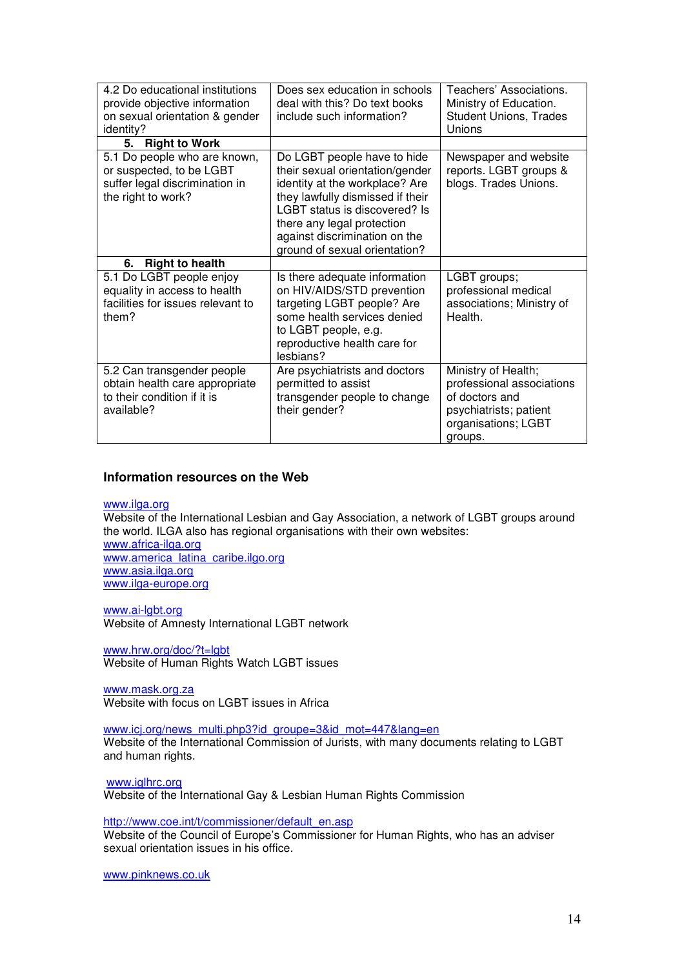| 4.2 Do educational institutions<br>provide objective information<br>on sexual orientation & gender<br>identity?  | Does sex education in schools<br>deal with this? Do text books<br>include such information?                                                                                                                                                                           | Teachers' Associations.<br>Ministry of Education.<br><b>Student Unions, Trades</b><br>Unions                                   |
|------------------------------------------------------------------------------------------------------------------|-----------------------------------------------------------------------------------------------------------------------------------------------------------------------------------------------------------------------------------------------------------------------|--------------------------------------------------------------------------------------------------------------------------------|
| <b>Right to Work</b><br>5.                                                                                       |                                                                                                                                                                                                                                                                       |                                                                                                                                |
| 5.1 Do people who are known,<br>or suspected, to be LGBT<br>suffer legal discrimination in<br>the right to work? | Do LGBT people have to hide<br>their sexual orientation/gender<br>identity at the workplace? Are<br>they lawfully dismissed if their<br>LGBT status is discovered? Is<br>there any legal protection<br>against discrimination on the<br>ground of sexual orientation? | Newspaper and website<br>reports. LGBT groups &<br>blogs. Trades Unions.                                                       |
| <b>Right to health</b><br>6.                                                                                     |                                                                                                                                                                                                                                                                       |                                                                                                                                |
| 5.1 Do LGBT people enjoy<br>equality in access to health<br>facilities for issues relevant to<br>them?           | Is there adequate information<br>on HIV/AIDS/STD prevention<br>targeting LGBT people? Are<br>some health services denied<br>to LGBT people, e.g.<br>reproductive health care for<br>lesbians?                                                                         | LGBT groups;<br>professional medical<br>associations; Ministry of<br>Health.                                                   |
| 5.2 Can transgender people<br>obtain health care appropriate<br>to their condition if it is<br>available?        | Are psychiatrists and doctors<br>permitted to assist<br>transgender people to change<br>their gender?                                                                                                                                                                 | Ministry of Health;<br>professional associations<br>of doctors and<br>psychiatrists; patient<br>organisations; LGBT<br>groups. |

#### **Information resources on the Web**

www.ilga.org

Website of the International Lesbian and Gay Association, a network of LGBT groups around the world. ILGA also has regional organisations with their own websites:

www.africa-ilga.org www.america\_latina\_caribe.ilgo.org www.asia.ilga.org www.ilga-europe.org

www.ai-lgbt.org Website of Amnesty International LGBT network

www.hrw.org/doc/?t=lgbt Website of Human Rights Watch LGBT issues

www.mask.org.za Website with focus on LGBT issues in Africa

www.icj.org/news\_multi.php3?id\_groupe=3&id\_mot=447&lang=en Website of the International Commission of Jurists, with many documents relating to LGBT and human rights.

www.iglhrc.org

Website of the International Gay & Lesbian Human Rights Commission

http://www.coe.int/t/commissioner/default\_en.asp

Website of the Council of Europe's Commissioner for Human Rights, who has an adviser sexual orientation issues in his office.

www.pinknews.co.uk